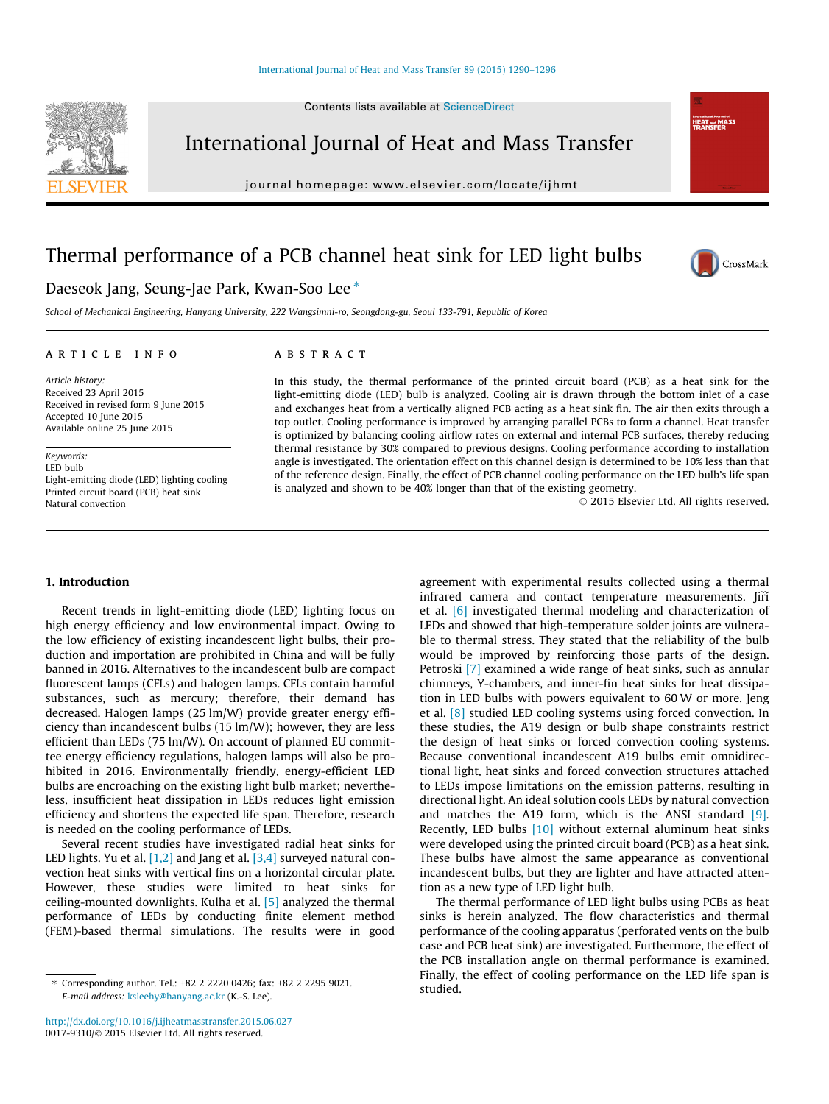Contents lists available at [ScienceDirect](http://www.sciencedirect.com/science/journal/00179310)



International Journal of Heat and Mass Transfer

journal homepage: [www.elsevier.com/locate/ijhmt](http://www.elsevier.com/locate/ijhmt)

## Thermal performance of a PCB channel heat sink for LED light bulbs



Informational Journal<br>HEAT and M<br>TD A MATERS

### Daeseok Jang, Seung-Jae Park, Kwan-Soo Lee<sup>\*</sup>

School of Mechanical Engineering, Hanyang University, 222 Wangsimni-ro, Seongdong-gu, Seoul 133-791, Republic of Korea

#### article info

Article history: Received 23 April 2015 Received in revised form 9 June 2015 Accepted 10 June 2015 Available online 25 June 2015

Keywords: LED bulb Light-emitting diode (LED) lighting cooling Printed circuit board (PCB) heat sink Natural convection

#### **ABSTRACT**

In this study, the thermal performance of the printed circuit board (PCB) as a heat sink for the light-emitting diode (LED) bulb is analyzed. Cooling air is drawn through the bottom inlet of a case and exchanges heat from a vertically aligned PCB acting as a heat sink fin. The air then exits through a top outlet. Cooling performance is improved by arranging parallel PCBs to form a channel. Heat transfer is optimized by balancing cooling airflow rates on external and internal PCB surfaces, thereby reducing thermal resistance by 30% compared to previous designs. Cooling performance according to installation angle is investigated. The orientation effect on this channel design is determined to be 10% less than that of the reference design. Finally, the effect of PCB channel cooling performance on the LED bulb's life span is analyzed and shown to be 40% longer than that of the existing geometry.

- 2015 Elsevier Ltd. All rights reserved.

#### 1. Introduction

Recent trends in light-emitting diode (LED) lighting focus on high energy efficiency and low environmental impact. Owing to the low efficiency of existing incandescent light bulbs, their production and importation are prohibited in China and will be fully banned in 2016. Alternatives to the incandescent bulb are compact fluorescent lamps (CFLs) and halogen lamps. CFLs contain harmful substances, such as mercury; therefore, their demand has decreased. Halogen lamps (25 lm/W) provide greater energy efficiency than incandescent bulbs (15 lm/W); however, they are less efficient than LEDs (75 lm/W). On account of planned EU committee energy efficiency regulations, halogen lamps will also be prohibited in 2016. Environmentally friendly, energy-efficient LED bulbs are encroaching on the existing light bulb market; nevertheless, insufficient heat dissipation in LEDs reduces light emission efficiency and shortens the expected life span. Therefore, research is needed on the cooling performance of LEDs.

Several recent studies have investigated radial heat sinks for LED lights. Yu et al. [\[1,2\]](#page--1-0) and Jang et al. [\[3,4\]](#page--1-0) surveyed natural convection heat sinks with vertical fins on a horizontal circular plate. However, these studies were limited to heat sinks for ceiling-mounted downlights. Kulha et al. [\[5\]](#page--1-0) analyzed the thermal performance of LEDs by conducting finite element method (FEM)-based thermal simulations. The results were in good

agreement with experimental results collected using a thermal infrared camera and contact temperature measurements. Jiří et al. [\[6\]](#page--1-0) investigated thermal modeling and characterization of LEDs and showed that high-temperature solder joints are vulnerable to thermal stress. They stated that the reliability of the bulb would be improved by reinforcing those parts of the design. Petroski [\[7\]](#page--1-0) examined a wide range of heat sinks, such as annular chimneys, Y-chambers, and inner-fin heat sinks for heat dissipation in LED bulbs with powers equivalent to 60 W or more. Jeng et al. [\[8\]](#page--1-0) studied LED cooling systems using forced convection. In these studies, the A19 design or bulb shape constraints restrict the design of heat sinks or forced convection cooling systems. Because conventional incandescent A19 bulbs emit omnidirectional light, heat sinks and forced convection structures attached to LEDs impose limitations on the emission patterns, resulting in directional light. An ideal solution cools LEDs by natural convection and matches the A19 form, which is the ANSI standard [\[9\].](#page--1-0) Recently, LED bulbs [\[10\]](#page--1-0) without external aluminum heat sinks were developed using the printed circuit board (PCB) as a heat sink. These bulbs have almost the same appearance as conventional incandescent bulbs, but they are lighter and have attracted attention as a new type of LED light bulb.

The thermal performance of LED light bulbs using PCBs as heat sinks is herein analyzed. The flow characteristics and thermal performance of the cooling apparatus (perforated vents on the bulb case and PCB heat sink) are investigated. Furthermore, the effect of the PCB installation angle on thermal performance is examined. Finally, the effect of cooling performance on the LED life span is studied.

<sup>⇑</sup> Corresponding author. Tel.: +82 2 2220 0426; fax: +82 2 2295 9021. E-mail address: [ksleehy@hanyang.ac.kr](mailto:ksleehy@hanyang.ac.kr) (K.-S. Lee).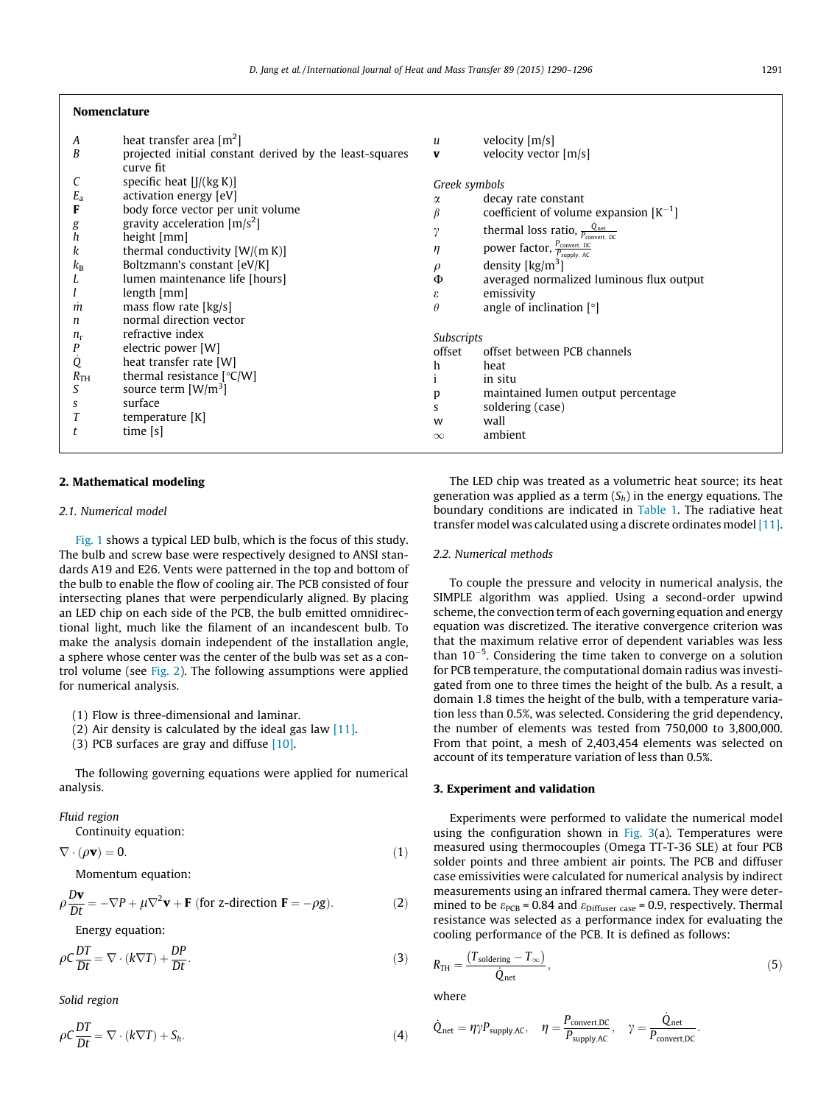#### Nomenclature

| A<br>B                                                   | heat transfer area $[m^2]$<br>projected initial constant derived by the least-squares                                                                                                                                                                                                                | u<br>$\mathbf{v}$                                                   | velocity [m/s]<br>velocity vector [m/s]                                                                                                                                                                                                                                                                                                                   |
|----------------------------------------------------------|------------------------------------------------------------------------------------------------------------------------------------------------------------------------------------------------------------------------------------------------------------------------------------------------------|---------------------------------------------------------------------|-----------------------------------------------------------------------------------------------------------------------------------------------------------------------------------------------------------------------------------------------------------------------------------------------------------------------------------------------------------|
| С<br>$E_{\rm a}$<br>F<br>g<br>h<br>k<br>$k_{\rm B}$<br>m | curve fit<br>specific heat $[J/(kg K)]$<br>activation energy [eV]<br>body force vector per unit volume<br>gravity acceleration $[m/s^2]$<br>height [mm]<br>thermal conductivity $[W/(m K)]$<br>Boltzmann's constant [eV/K]<br>lumen maintenance life [hours]<br>length [mm]<br>mass flow rate [kg/s] | Greek symbols<br>α<br>$\gamma$<br>η<br>$\rho$<br>Φ<br>ε<br>$\theta$ | decay rate constant<br>coefficient of volume expansion $[K^{-1}]$<br>thermal loss ratio, $\frac{Q_{net}}{P_{convert} \text{DC}}$<br>power factor, $\frac{P_{\text{convert, DC}}}{P_{\text{supply, AC}}}$<br>density $\lceil \text{kg/m}^3 \rceil$<br>averaged normalized luminous flux output<br>emissivity<br>angle of inclination $\lceil \circ \rceil$ |
| n<br>$n_{\rm r}$<br>P<br>Q<br>$R_{TH}$<br>S<br>S         | normal direction vector<br>refractive index<br>electric power [W]<br>heat transfer rate [W]<br>thermal resistance $[°C/W]$<br>source term $\left[\frac{\text{W}}{\text{m}^3}\right]$<br>surface<br>temperature [K]<br>time $[s]$                                                                     | Subscripts<br>offset<br>h<br>p<br>S<br>W<br>$\infty$                | offset between PCB channels<br>heat<br>in situ<br>maintained lumen output percentage<br>soldering (case)<br>wall<br>ambient                                                                                                                                                                                                                               |

#### 2. Mathematical modeling

#### 2.1. Numerical model

[Fig. 1](#page--1-0) shows a typical LED bulb, which is the focus of this study. The bulb and screw base were respectively designed to ANSI standards A19 and E26. Vents were patterned in the top and bottom of the bulb to enable the flow of cooling air. The PCB consisted of four intersecting planes that were perpendicularly aligned. By placing an LED chip on each side of the PCB, the bulb emitted omnidirectional light, much like the filament of an incandescent bulb. To make the analysis domain independent of the installation angle, a sphere whose center was the center of the bulb was set as a control volume (see [Fig. 2](#page--1-0)). The following assumptions were applied for numerical analysis.

(1) Flow is three-dimensional and laminar.

(2) Air density is calculated by the ideal gas law  $[11]$ .

(3) PCB surfaces are gray and diffuse [\[10\].](#page--1-0)

The following governing equations were applied for numerical analysis.

Fluid region

Continuity equation:

$$
\nabla \cdot (\rho \mathbf{v}) = 0. \tag{1}
$$

Momentum equation:

$$
\rho \frac{D\mathbf{v}}{Dt} = -\nabla P + \mu \nabla^2 \mathbf{v} + \mathbf{F} \text{ (for z-direction } \mathbf{F} = -\rho g). \tag{2}
$$

Energy equation:

 $\rho C \frac{DT}{Dt} = \nabla \cdot (k \nabla T) + \frac{DP}{Dt}$  $\frac{\partial I}{\partial t}$  (3)

Solid region

$$
\rho C \frac{DT}{Dt} = \nabla \cdot (k \nabla T) + S_h. \tag{4}
$$

The LED chip was treated as a volumetric heat source; its heat generation was applied as a term  $(S_h)$  in the energy equations. The boundary conditions are indicated in [Table 1.](#page--1-0) The radiative heat transfer model was calculated using a discrete ordinates model [\[11\].](#page--1-0)

#### 2.2. Numerical methods

To couple the pressure and velocity in numerical analysis, the SIMPLE algorithm was applied. Using a second-order upwind scheme, the convection term of each governing equation and energy equation was discretized. The iterative convergence criterion was that the maximum relative error of dependent variables was less than  $10^{-5}$ . Considering the time taken to converge on a solution for PCB temperature, the computational domain radius was investigated from one to three times the height of the bulb. As a result, a domain 1.8 times the height of the bulb, with a temperature variation less than 0.5%, was selected. Considering the grid dependency, the number of elements was tested from 750,000 to 3,800,000. From that point, a mesh of 2,403,454 elements was selected on account of its temperature variation of less than 0.5%.

#### 3. Experiment and validation

Experiments were performed to validate the numerical model using the configuration shown in Fig.  $3(a)$ . Temperatures were measured using thermocouples (Omega TT-T-36 SLE) at four PCB solder points and three ambient air points. The PCB and diffuser case emissivities were calculated for numerical analysis by indirect measurements using an infrared thermal camera. They were determined to be  $\varepsilon_{\text{PCB}}$  = 0.84 and  $\varepsilon_{\text{Diffuser case}}$  = 0.9, respectively. Thermal resistance was selected as a performance index for evaluating the cooling performance of the PCB. It is defined as follows:

$$
R_{\rm TH} = \frac{(T_{\rm soldering} - T_{\infty})}{\dot{Q}_{\rm net}},\tag{5}
$$

where

$$
\dot{Q}_{net} = \eta \gamma P_{supply,AC}, \quad \eta = \frac{P_{convert,DC}}{P_{supply,AC}}, \quad \gamma = \frac{\dot{Q}_{net}}{P_{convert,DC}}.
$$